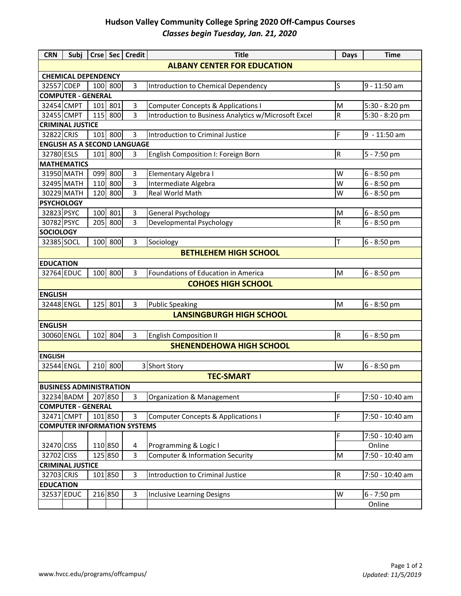## **Hudson Valley Community College Spring 2020 Off-Campus Courses** *Classes begin Tuesday, Jan. 21, 2020*

| <b>CRN</b>                          | Subi                                |         |                | Crse   Sec   Credit | <b>Title</b>                                         | <b>Days</b> | <b>Time</b>                |  |  |  |
|-------------------------------------|-------------------------------------|---------|----------------|---------------------|------------------------------------------------------|-------------|----------------------------|--|--|--|
| <b>ALBANY CENTER FOR EDUCATION</b>  |                                     |         |                |                     |                                                      |             |                            |  |  |  |
|                                     | <b>CHEMICAL DEPENDENCY</b>          |         |                |                     |                                                      |             |                            |  |  |  |
| 32557 CDEP                          |                                     |         | 100 800        | 3                   | Introduction to Chemical Dependency                  | ls          | 9 - 11:50 am               |  |  |  |
|                                     | <b>COMPUTER - GENERAL</b>           |         |                |                     |                                                      |             |                            |  |  |  |
| 32454 CMPT                          |                                     |         | 101 801        | 3                   | <b>Computer Concepts &amp; Applications I</b>        | M           | 5:30 - 8:20 pm             |  |  |  |
| 32455 CMPT                          |                                     |         | 115 800        | 3                   | Introduction to Business Analytics w/Microsoft Excel | R           | 5:30 - 8:20 pm             |  |  |  |
|                                     | <b>CRIMINAL JUSTICE</b>             |         |                |                     |                                                      |             |                            |  |  |  |
| 32822 CRJS                          |                                     |         | 101 800        | 3                   | Introduction to Criminal Justice                     | F           | $9 - 11:50$ am             |  |  |  |
|                                     | <b>ENGLISH AS A SECOND LANGUAGE</b> |         |                |                     |                                                      |             |                            |  |  |  |
| 32780 ESLS                          |                                     |         | 101 800        | $\overline{3}$      | English Composition I: Foreign Born                  | R.          | 5 - 7:50 pm                |  |  |  |
|                                     | <b>MATHEMATICS</b>                  |         |                |                     |                                                      |             |                            |  |  |  |
|                                     | 31950 MATH<br>32495 MATH            | 099     | 800            | 3<br>$\overline{3}$ | Elementary Algebra I                                 | W<br>W      | 6 - 8:50 pm                |  |  |  |
|                                     | 30229 MATH                          | 110     | 800<br>120 800 | 3                   | Intermediate Algebra<br>Real World Math              | W           | 6 - 8:50 pm<br>6 - 8:50 pm |  |  |  |
| <b>PSYCHOLOGY</b>                   |                                     |         |                |                     |                                                      |             |                            |  |  |  |
| 32823 PSYC                          |                                     | 100     | 801            | 3                   | General Psychology                                   | M           | 6 - 8:50 pm                |  |  |  |
| 30782 PSYC                          |                                     | 205     | 800            | $\overline{3}$      | Developmental Psychology                             | R           | 6 - 8:50 pm                |  |  |  |
| <b>SOCIOLOGY</b>                    |                                     |         |                |                     |                                                      |             |                            |  |  |  |
| 32385 SOCL                          |                                     |         | 100 800        | 3                   | Sociology                                            | Iт          | 6 - 8:50 pm                |  |  |  |
|                                     |                                     |         |                |                     | <b>BETHLEHEM HIGH SCHOOL</b>                         |             |                            |  |  |  |
| <b>EDUCATION</b>                    |                                     |         |                |                     |                                                      |             |                            |  |  |  |
| 32764 EDUC                          |                                     |         | 100 800        | 3                   | Foundations of Education in America                  | M           | 6 - 8:50 pm                |  |  |  |
|                                     |                                     |         |                |                     | <b>COHOES HIGH SCHOOL</b>                            |             |                            |  |  |  |
| <b>ENGLISH</b>                      |                                     |         |                |                     |                                                      |             |                            |  |  |  |
| 32448 ENGL                          |                                     |         | 125 801        | $\overline{3}$      | <b>Public Speaking</b>                               | M           | 6 - 8:50 pm                |  |  |  |
|                                     |                                     |         |                |                     | <b>LANSINGBURGH HIGH SCHOOL</b>                      |             |                            |  |  |  |
| <b>ENGLISH</b>                      |                                     |         |                |                     |                                                      |             |                            |  |  |  |
| 30060 ENGL                          |                                     |         | 102 804        | $\overline{3}$      | English Composition II                               | R.          | 6 - 8:50 pm                |  |  |  |
|                                     |                                     |         |                |                     | <b>SHENENDEHOWA HIGH SCHOOL</b>                      |             |                            |  |  |  |
| <b>ENGLISH</b>                      |                                     |         |                |                     |                                                      |             |                            |  |  |  |
| 32544 ENGL                          |                                     |         | 210 800        |                     | 3 Short Story                                        | W           | $6 - 8:50$ pm              |  |  |  |
|                                     |                                     |         |                |                     | <b>TEC-SMART</b>                                     |             |                            |  |  |  |
|                                     | <b>BUSINESS ADMINISTRATION</b>      |         |                |                     |                                                      |             |                            |  |  |  |
|                                     | 32234 BADM                          | 207 850 |                | 3                   | Organization & Management                            | I۴          | 7:50 - 10:40 am            |  |  |  |
|                                     | <b>COMPUTER - GENERAL</b>           |         |                |                     |                                                      |             |                            |  |  |  |
|                                     | 32471 CMPT                          |         | 101 850        | 3                   | <b>Computer Concepts &amp; Applications I</b>        | F           | 7:50 - 10:40 am            |  |  |  |
| <b>COMPUTER INFORMATION SYSTEMS</b> |                                     |         |                |                     |                                                      |             |                            |  |  |  |
|                                     |                                     |         |                |                     |                                                      | F           | 7:50 - 10:40 am            |  |  |  |
| 32470 CISS                          |                                     |         | 110 850        | 4                   | Programming & Logic I                                |             | Online                     |  |  |  |
| 32702 CISS                          |                                     |         | 125 850        | 3                   | <b>Computer &amp; Information Security</b>           | M           | 7:50 - 10:40 am            |  |  |  |
| <b>CRIMINAL JUSTICE</b>             |                                     |         |                |                     |                                                      |             |                            |  |  |  |
| 32703 CRJS                          |                                     |         | 101 850        | $\overline{3}$      | Introduction to Criminal Justice                     | ${\sf R}$   | 7:50 - 10:40 am            |  |  |  |
| <b>EDUCATION</b>                    |                                     |         |                |                     |                                                      |             |                            |  |  |  |
| 32537 EDUC                          |                                     |         | 216 850        | 3                   | Inclusive Learning Designs                           | W           | 6 - 7:50 pm                |  |  |  |
|                                     |                                     |         |                |                     |                                                      |             | Online                     |  |  |  |